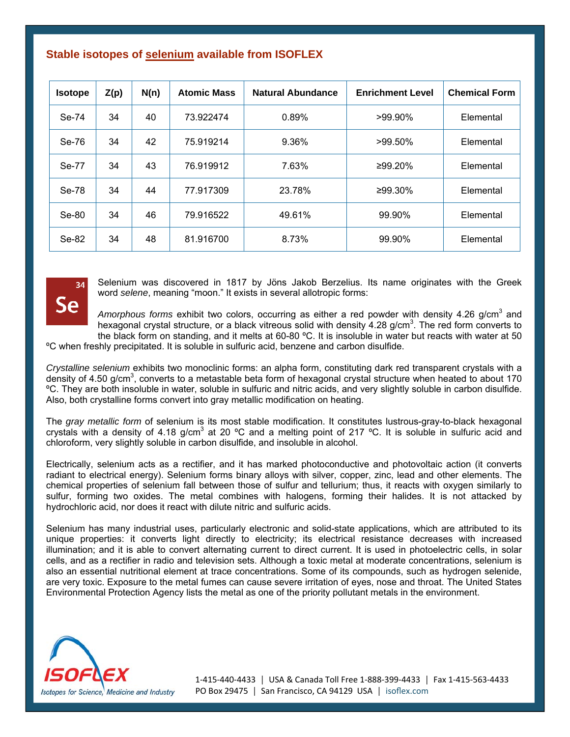## **Stable isotopes of selenium available from ISOFLEX**

| <b>Isotope</b> | Z(p) | N(n) | <b>Atomic Mass</b> | Natural Abundance | <b>Enrichment Level</b> | <b>Chemical Form</b> |
|----------------|------|------|--------------------|-------------------|-------------------------|----------------------|
| Se-74          | 34   | 40   | 73.922474          | 0.89%             | $>99.90\%$              | Elemental            |
| Se-76          | 34   | 42   | 75.919214          | 9.36%             | >99.50%                 | Elemental            |
| Se-77          | 34   | 43   | 76.919912          | 7.63%             | ≥99.20%                 | Elemental            |
| Se-78          | 34   | 44   | 77.917309          | 23.78%            | $≥99.30\%$              | Elemental            |
| Se-80          | 34   | 46   | 79.916522          | 49.61%            | 99.90%                  | Elemental            |
| Se-82          | 34   | 48   | 81.916700          | 8.73%             | 99.90%                  | Elemental            |



Selenium was discovered in 1817 by Jöns Jakob Berzelius. Its name originates with the Greek word *selene*, meaning "moon." It exists in several allotropic forms:

Amorphous forms exhibit two colors, occurring as either a red powder with density 4.26 g/cm<sup>3</sup> and hexagonal crystal structure, or a black vitreous solid with density 4.28 g/cm<sup>3</sup>. The red form converts to the black form on standing, and it melts at 60-80 °C. It is insoluble in water but reacts with water at 50

ºC when freshly precipitated. It is soluble in sulfuric acid, benzene and carbon disulfide.

*Crystalline selenium* exhibits two monoclinic forms: an alpha form, constituting dark red transparent crystals with a density of 4.50 g/cm<sup>3</sup>, converts to a metastable beta form of hexagonal crystal structure when heated to about 170 ºC. They are both insoluble in water, soluble in sulfuric and nitric acids, and very slightly soluble in carbon disulfide. Also, both crystalline forms convert into gray metallic modification on heating.

The *gray metallic form* of selenium is its most stable modification. It constitutes lustrous-gray-to-black hexagonal crystals with a density of 4.18 g/cm<sup>3</sup> at 20 °C and a melting point of 217 °C. It is soluble in sulfuric acid and chloroform, very slightly soluble in carbon disulfide, and insoluble in alcohol.

Electrically, selenium acts as a rectifier, and it has marked photoconductive and photovoltaic action (it converts radiant to electrical energy). Selenium forms binary alloys with silver, copper, zinc, lead and other elements. The chemical properties of selenium fall between those of sulfur and tellurium; thus, it reacts with oxygen similarly to sulfur, forming two oxides. The metal combines with halogens, forming their halides. It is not attacked by hydrochloric acid, nor does it react with dilute nitric and sulfuric acids.

Selenium has many industrial uses, particularly electronic and solid-state applications, which are attributed to its unique properties: it converts light directly to electricity; its electrical resistance decreases with increased illumination; and it is able to convert alternating current to direct current. It is used in photoelectric cells, in solar cells, and as a rectifier in radio and television sets. Although a toxic metal at moderate concentrations, selenium is also an essential nutritional element at trace concentrations. Some of its compounds, such as hydrogen selenide, are very toxic. Exposure to the metal fumes can cause severe irritation of eyes, nose and throat. The United States Environmental Protection Agency lists the metal as one of the priority pollutant metals in the environment.